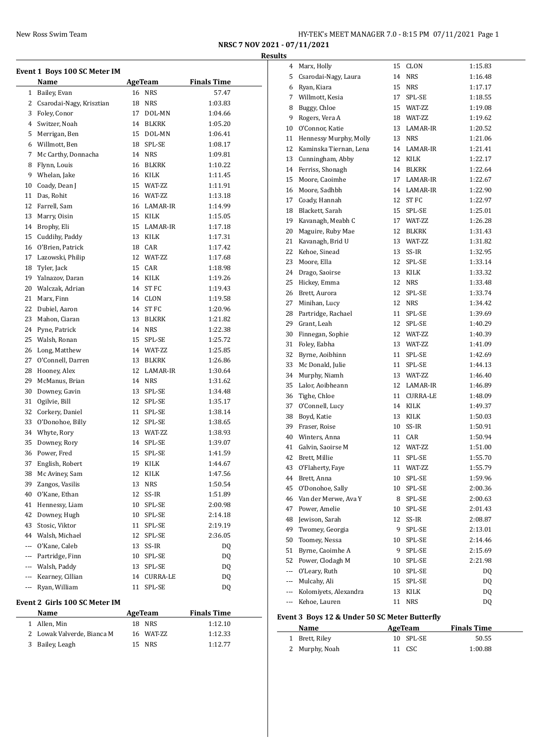| New Ross Swim Team | HY-TEK's MEET MANAGER 7.0 - 8:15 PM 07/11/2021 Page 1 |  |
|--------------------|-------------------------------------------------------|--|
|--------------------|-------------------------------------------------------|--|

 Marx, Holly 15 CLON 1:15.83 Csarodai-Nagy, Laura 14 NRS 1:16.48

**NRSC 7 NOV 2021 - 07/11/2021 Results**

| $\mathbf{1}$<br>2 | Name<br>Bailey, Evan                 |    | AgeTeam          | <b>Finals Time</b> |
|-------------------|--------------------------------------|----|------------------|--------------------|
|                   |                                      | 16 | <b>NRS</b>       | 57.47              |
|                   | Csarodai-Nagy, Krisztian             | 18 | <b>NRS</b>       | 1:03.83            |
| 3                 | Foley, Conor                         | 17 | DOL-MN           | 1:04.66            |
| $\overline{4}$    | Switzer, Noah                        | 14 | BLKRK            | 1:05.20            |
| 5                 | Merrigan, Ben                        | 15 | DOL-MN           | 1:06.41            |
| 6                 | Willmott, Ben                        | 18 | SPL-SE           | 1:08.17            |
| 7                 | Mc Carthy, Donnacha                  |    | 14 NRS           | 1:09.81            |
| 8                 | Flynn, Louis                         | 16 | <b>BLKRK</b>     | 1:10.22            |
| 9                 | Whelan, Jake                         |    | 16 KILK          | 1:11.45            |
| 10                | Coady, Dean J                        |    | 15 WAT-ZZ        | 1:11.91            |
| 11                | Das, Rohit                           |    | 16 WAT-ZZ        | 1:13.18            |
|                   | 12 Farrell, Sam                      |    | 16 LAMAR-IR      | 1:14.99            |
| 13                | Marry, Oisin                         | 15 | KILK             | 1:15.05            |
| 14                | Brophy, Eli                          |    | 15 LAMAR-IR      | 1:17.18            |
|                   |                                      |    |                  |                    |
| 15                | Cuddihy, Paddy                       |    | 13 KILK          | 1:17.31            |
| 16<br>17          | O'Brien, Patrick<br>Lazowski, Philip | 18 | CAR<br>12 WAT-ZZ | 1:17.42<br>1:17.68 |
|                   |                                      |    |                  |                    |
| 18                | Tyler, Jack                          | 15 | CAR              | 1:18.98            |
| 19                | Yalnazov, Daran                      |    | 14 KILK          | 1:19.26            |
| 20                | Walczak, Adrian                      | 14 | ST FC            | 1:19.43            |
| 21                | Marx, Finn                           |    | 14 CLON          | 1:19.58            |
| 22                | Dubiel, Aaron                        | 14 | ST FC            | 1:20.96            |
| 23                | Mahon, Ciaran                        | 13 | BLKRK            | 1:21.82            |
| 24                | Pyne, Patrick                        | 14 | <b>NRS</b>       | 1:22.38            |
| 25                | Walsh, Ronan                         | 15 | SPL-SE           | 1:25.72            |
| 26                | Long, Matthew                        |    | 14 WAT-ZZ        | 1:25.85            |
| 27                | O'Connell, Darren                    | 13 | BLKRK            | 1:26.86            |
| 28                | Hooney, Alex                         | 12 | LAMAR-IR         | 1:30.64            |
| 29                | McManus, Brian                       |    | 14 NRS           | 1:31.62            |
| 30                | Downey, Gavin                        | 13 | SPL-SE           | 1:34.48            |
| 31                | Ogilvie, Bill                        | 12 | SPL-SE           | 1:35.17            |
| 32                | Corkery, Daniel                      | 11 | SPL-SE           | 1:38.14            |
| 33                | O'Donohoe, Billy                     | 12 | SPL-SE           | 1:38.65            |
| 34                | Whyte, Rory                          | 13 | WAT-ZZ           | 1:38.93            |
| 35                | Downey, Rory                         | 14 | SPL-SE           | 1:39.07            |
| 36                | Power, Fred                          | 15 | SPL-SE           | 1:41.59            |
| 37                | English, Robert                      |    | 19 KILK          | 1:44.67            |
| 38                | Mc Aviney, Sam                       | 12 | KILK             | 1:47.56            |
| 39                | Zangos, Vasilis                      | 13 | NRS              | 1:50.54            |
| 40                | O'Kane, Ethan                        | 12 | SS-IR            | 1:51.89            |
| 41                | Hennessy, Liam                       | 10 | SPL-SE           | 2:00.98            |
| 42                | Downey, Hugh                         | 10 | SPL-SE           | 2:14.18            |
| 43                | Stosic, Viktor                       | 11 | SPL-SE           | 2:19.19            |
|                   | 44 Walsh, Michael                    | 12 | SPL-SE           | 2:36.05            |
|                   | --- O'Kane, Caleb                    | 13 | SS-IR            | DQ                 |
|                   | --- Partridge, Finn                  | 10 | SPL-SE           | DQ                 |
|                   | --- Walsh, Paddy                     | 13 | SPL-SE           | DQ                 |
|                   | --- Kearney, Cillian                 | 14 | CURRA-LE         | DQ                 |
| $\cdots$          | Ryan, William                        | 11 | SPL-SE           | DQ                 |
|                   | Event 2 Girls 100 SC Meter IM        |    |                  |                    |

1 Allen, Min 18 NRS 1:12.10<br>2 Lowak Valverde, Bianca M 16 WAT-ZZ 1:12.33 2 Lowak Valverde, Bianca M 16 WAT-ZZ 1:12.33 Bailey, Leagh 15 NRS 1:12.77

| 6   | Ryan, Kiara            | 15 | <b>NRS</b>  | 1:17.17 |
|-----|------------------------|----|-------------|---------|
| 7   | Willmott, Kesia        | 17 | SPL-SE      | 1:18.55 |
| 8   | Buggy, Chloe           |    | 15 WAT-ZZ   | 1:19.08 |
| 9   | Rogers, Vera A         |    | 18 WAT-ZZ   | 1:19.62 |
| 10  | O'Connor, Katie        |    | 13 LAMAR-IR | 1:20.52 |
| 11  | Hennessy Murphy, Molly | 13 | <b>NRS</b>  | 1:21.06 |
| 12  | Kaminska Tiernan, Lena |    | 14 LAMAR-IR | 1:21.41 |
| 13  | Cunningham, Abby       |    | 12 KILK     | 1:22.17 |
| 14  | Ferriss, Shonagh       |    | 14 BLKRK    | 1:22.64 |
| 15  | Moore, Caoimhe         | 17 | LAMAR-IR    | 1:22.67 |
| 16  | Moore, Sadhbh          |    | 14 LAMAR-IR | 1:22.90 |
| 17  | Coady, Hannah          | 12 | ST FC       | 1:22.97 |
| 18  | Blackett, Sarah        | 15 | SPL-SE      | 1:25.01 |
| 19  | Kavanagh, Meabh C      | 17 | WAT-ZZ      | 1:26.28 |
| 20  | Maguire, Ruby Mae      | 12 | BLKRK       | 1:31.43 |
| 21  | Kavanagh, Brid U       | 13 | WAT-ZZ      | 1:31.82 |
| 22  | Kehoe, Sinead          |    | 13 SS-IR    | 1:32.95 |
| 23  | Moore. Ella            | 12 | SPL-SE      | 1:33.14 |
| 24  | Drago, Saoirse         | 13 | KILK        | 1:33.32 |
| 25  | Hickey, Emma           |    | 12 NRS      | 1:33.48 |
| 26  | Brett, Aurora          | 12 | SPL-SE      | 1:33.74 |
| 27  | Minihan, Lucy          |    | 12 NRS      | 1:34.42 |
| 28  | Partridge, Rachael     | 11 | SPL-SE      | 1:39.69 |
| 29  | Grant, Leah            | 12 | SPL-SE      | 1:40.29 |
| 30  | Finnegan, Sophie       |    | 12 WAT-ZZ   | 1:40.39 |
| 31  | Foley, Eabha           |    | 13 WAT-ZZ   | 1:41.09 |
| 32  | Byrne, Aoibhinn        | 11 | SPL-SE      | 1:42.69 |
| 33  | Mc Donald, Julie       | 11 | SPL-SE      | 1:44.13 |
| 34  | Murphy, Niamh          |    | 13 WAT-ZZ   | 1:46.40 |
| 35  | Lalor, Aoibheann       |    | 12 LAMAR-IR | 1:46.89 |
| 36  | Tighe, Chloe           |    | 11 CURRA-LE | 1:48.09 |
| 37  | O'Connell, Lucy        |    | 14 KILK     | 1:49.37 |
| 38  | Boyd, Katie            |    | 13 KILK     | 1:50.03 |
| 39  | Fraser, Roise          |    | 10 SS-IR    | 1:50.91 |
| 40  | Winters, Anna          |    | 11 CAR      | 1:50.94 |
| 41  | Galvin, Saoirse M      |    | 12 WAT-ZZ   | 1:51.00 |
| 42  | Brett, Millie          | 11 | SPL-SE      | 1:55.70 |
| 43  | O'Flaherty, Faye       | 11 | WAT-ZZ      | 1:55.79 |
| 44  | Brett, Anna            | 10 | SPL-SE      | 1:59.96 |
| 45  | O'Donohoe, Sally       | 10 | SPL-SE      | 2:00.36 |
| 46  | Van der Merwe, Ava Y   | 8  | SPL-SE      | 2:00.63 |
| 47  | Power, Amelie          | 10 | SPL-SE      | 2:01.43 |
| 48  | Jewison, Sarah         | 12 | SS-IR       | 2:08.87 |
| 49  | Twomey, Georgia        | 9  | SPL-SE      | 2:13.01 |
| 50  | Toomey, Nessa          | 10 | SPL-SE      | 2:14.46 |
| 51  | Byrne, Caoimhe A       | 9  | SPL-SE      | 2:15.69 |
| 52  | Power, Clodagh M       | 10 | SPL-SE      | 2:21.98 |
| --- | O'Leary, Ruth          | 10 | SPL-SE      | DQ      |
| --- | Mulcahy, Ali           | 15 | SPL-SE      | DQ      |
| --- | Kolomiyets, Alexandra  | 13 | KILK        | DQ      |
| --- | Kehoe, Lauren          | 11 | <b>NRS</b>  | DQ      |
|     |                        |    |             |         |

## **Event 3 Boys 12 & Under 50 SC Meter Butterfly**

| Name           | AgeTeam   | <b>Finals Time</b> |  |
|----------------|-----------|--------------------|--|
| 1 Brett, Riley | 10 SPL-SE | 50.55              |  |
| 2 Murphy, Noah | 11 CSC    | 1:00.88            |  |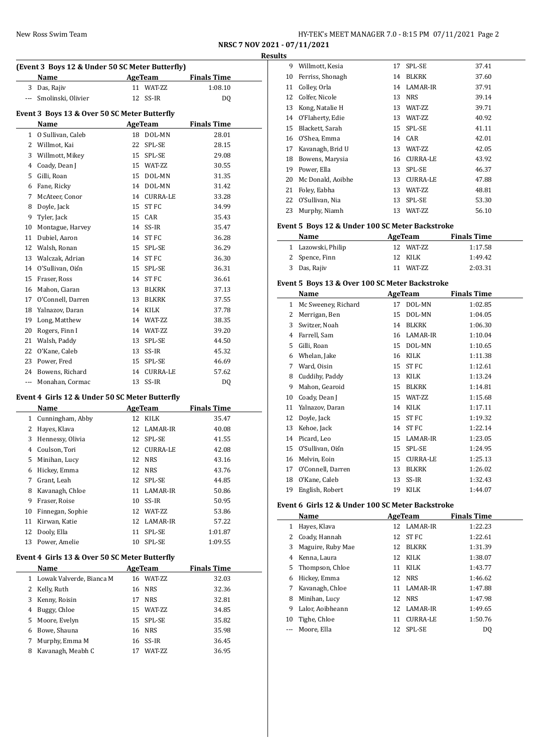| New Ross Swim Team | HY-TEK's MEET MANAGER 7.0 - 8:15 PM 07/11/2021 Page 2 |
|--------------------|-------------------------------------------------------|
|--------------------|-------------------------------------------------------|

**NRSC 7 NOV 2021 - 07/11/2021 Results** 

|                | (Event 3 Boys 12 & Under 50 SC Meter Butterfly)<br>Name |    | AgeTeam         | <b>Finals Time</b> |
|----------------|---------------------------------------------------------|----|-----------------|--------------------|
| 3              | Das, Rajiv                                              | 11 | WAT-ZZ          | 1:08.10            |
| $\frac{1}{2}$  | Smolinski, Olivier                                      | 12 | $SS-IR$         | DQ                 |
|                | Event 3 Boys 13 & Over 50 SC Meter Butterfly            |    |                 |                    |
|                | Name                                                    |    | AgeTeam         | <b>Finals Time</b> |
| $\mathbf{1}$   | O Sullivan, Caleb                                       |    | 18 DOL-MN       | 28.01              |
|                | 2 Willmot, Kai                                          | 22 | SPL-SE          | 28.15              |
| 3              | Willmott, Mikey                                         | 15 | SPL-SE          | 29.08              |
| 4              | Coady, Dean J                                           | 15 | WAT-ZZ          | 30.55              |
| 5              | Gilli, Roan                                             | 15 | DOL-MN          | 31.35              |
| 6              | Fane, Ricky                                             | 14 | DOL-MN          | 31.42              |
| 7              | McAteer, Conor                                          | 14 | <b>CURRA-LE</b> | 33.28              |
| 8              | Doyle, Jack                                             | 15 | ST FC           | 34.99              |
| 9              | Tyler, Jack                                             | 15 | CAR             | 35.43              |
| 10             | Montague, Harvey                                        | 14 | SS-IR           | 35.47              |
| 11             | Dubiel, Aaron                                           | 14 | <b>STFC</b>     | 36.28              |
| 12             | Walsh, Ronan                                            | 15 | SPL-SE          | 36.29              |
| 13             | Walczak, Adrian                                         | 14 | ST FC           | 36.30              |
| 14             | O'Sullivan, Oiśn                                        | 15 | SPL-SE          | 36.31              |
| 15             | Fraser, Ross                                            | 14 | ST FC           | 36.61              |
| 16             | Mahon, Ciaran                                           | 13 | <b>BLKRK</b>    | 37.13              |
| 17             | O'Connell, Darren                                       | 13 | <b>BLKRK</b>    | 37.55              |
| 18             | Yalnazov, Daran                                         | 14 | <b>KILK</b>     | 37.78              |
| 19             | Long, Matthew                                           | 14 | WAT-ZZ          | 38.35              |
| 20             | Rogers, Finn I                                          | 14 | WAT-ZZ          | 39.20              |
| 21             | Walsh, Paddy                                            | 13 | SPL-SE          | 44.50              |
| 22             | O'Kane, Caleb                                           | 13 | SS-IR           | 45.32              |
| 23             | Power, Fred                                             | 15 | SPL-SE          | 46.69              |
| 24             | Bowens, Richard                                         | 14 | <b>CURRA-LE</b> | 57.62              |
| $\overline{a}$ | Monahan, Cormac                                         | 13 | SS-IR           | DQ                 |
|                |                                                         |    |                 |                    |

# **Event 4 Girls 12 & Under 50 SC Meter Butterfly**

|              | Name             | AgeTeam |                 | <b>Finals Time</b> |
|--------------|------------------|---------|-----------------|--------------------|
| $\mathbf{1}$ | Cunningham, Abby |         | 12 KILK         | 35.47              |
| 2            | Hayes, Klava     |         | 12 LAMAR-IR     | 40.08              |
| 3            | Hennessy, Olivia | 12      | SPL-SE          | 41.55              |
| 4            | Coulson, Tori    | 12      | <b>CURRA-LE</b> | 42.08              |
| 5.           | Minihan, Lucy    |         | 12 NRS          | 43.16              |
| 6            | Hickey, Emma     | 12      | NRS             | 43.76              |
| 7            | Grant, Leah      | 12      | SPL-SE          | 44.85              |
| 8            | Kavanagh, Chloe  | 11      | LAMAR-IR        | 50.86              |
| 9            | Fraser, Roise    | 10      | SS-IR           | 50.95              |
| 10           | Finnegan, Sophie | 12      | WAT-ZZ          | 53.86              |
| 11           | Kirwan, Katie    |         | 12 LAMAR-IR     | 57.22              |
| 12           | Dooly, Ella      | 11      | SPL-SE          | 1:01.87            |
| 13           | Power, Amelie    | 10      | SPL-SE          | 1:09.55            |

## **Event 4 Girls 13 & Over 50 SC Meter Butterfly**

|   | Name                       |    | AgeTeam         | <b>Finals Time</b> |  |
|---|----------------------------|----|-----------------|--------------------|--|
|   | 1 Lowak Valverde, Bianca M | 16 | <b>WAT-7.7.</b> | 32.03              |  |
|   | 2 Kelly, Ruth              |    | 16 NRS          | 32.36              |  |
| 3 | Kenny, Roisin              | 17 | <b>NRS</b>      | 32.81              |  |
| 4 | Buggy, Chloe               |    | 15 WAT-ZZ       | 34.85              |  |
|   | 5 Moore, Evelyn            |    | 15 SPL-SE       | 35.82              |  |
| 6 | Bowe, Shauna               |    | 16 NRS          | 35.98              |  |
| 7 | Murphy, Emma M             |    | 16 SS-IR        | 36.45              |  |
| 8 | Kavanagh, Meabh C          |    | <b>WAT-7.7.</b> | 36.95              |  |

|    | Willmott, Kesia<br>9 | 17 | SPL-SE          | 37.41 |
|----|----------------------|----|-----------------|-------|
| 10 | Ferriss, Shonagh     | 14 | <b>BLKRK</b>    | 37.60 |
| 11 | Colley, Orla         |    | 14 LAMAR-IR     | 37.91 |
|    | 12 Colfer, Nicole    | 13 | <b>NRS</b>      | 39.14 |
| 13 | Kong, Natalie H      | 13 | WAT-ZZ          | 39.71 |
| 14 | O'Flaherty, Edie     | 13 | WAT-ZZ          | 40.92 |
| 15 | Blackett, Sarah      |    | 15 SPL-SE       | 41.11 |
| 16 | O'Shea, Emma         |    | 14 CAR          | 42.01 |
| 17 | Kavanagh, Brid U     | 13 | WAT-ZZ          | 42.05 |
| 18 | Bowens, Marysia      | 16 | CURRA-LE        | 43.92 |
| 19 | Power, Ella          | 13 | SPL-SE          | 46.37 |
| 20 | Mc Donald, Aoibhe    | 13 | <b>CURRA-LE</b> | 47.88 |
| 21 | Foley, Eabha         | 13 | WAT-ZZ          | 48.81 |
| 22 | O'Sullivan, Nia      | 13 | SPL-SE          | 53.30 |
| 23 | Murphy, Niamh        | 13 | WAT-ZZ          | 56.10 |

## **Event 5 Boys 12 & Under 100 SC Meter Backstroke**

| Name               | AgeTeam       | <b>Finals Time</b> |  |
|--------------------|---------------|--------------------|--|
| 1 Lazowski, Philip | 12 WAT-7.7    | 1:17.58            |  |
| 2 Spence, Finn     | 12 KILK       | 1:49.42            |  |
| 3 Das, Rajiv       | WAT-7.7<br>11 | 2:03.31            |  |

### **Event 5 Boys 13 & Over 100 SC Meter Backstroke**

|    | Name                |    | <b>AgeTeam</b>  | <b>Finals Time</b> |
|----|---------------------|----|-----------------|--------------------|
| 1  | Mc Sweeney, Richard | 17 | DOL-MN          | 1:02.85            |
| 2  | Merrigan, Ben       | 15 | DOL-MN          | 1:04.05            |
| 3  | Switzer, Noah       | 14 | <b>BLKRK</b>    | 1:06.30            |
| 4  | Farrell, Sam        | 16 | LAMAR-IR        | 1:10.04            |
| 5  | Gilli, Roan         | 15 | DOL-MN          | 1:10.65            |
| 6  | Whelan, Jake        | 16 | <b>KILK</b>     | 1:11.38            |
| 7  | Ward, Oisin         | 15 | ST FC           | 1:12.61            |
| 8  | Cuddihy, Paddy      | 13 | KILK            | 1:13.24            |
| 9  | Mahon, Gearoid      | 15 | <b>BLKRK</b>    | 1:14.81            |
| 10 | Coady, Dean J       | 15 | WAT-ZZ          | 1:15.68            |
| 11 | Yalnazov, Daran     | 14 | KILK            | 1:17.11            |
| 12 | Doyle, Jack         | 15 | ST FC           | 1:19.32            |
| 13 | Kehoe, Jack         | 14 | ST FC           | 1:22.14            |
| 14 | Picard, Leo         | 15 | LAMAR-IR        | 1:23.05            |
| 15 | O'Sullivan, Oiśn    | 15 | SPL-SE          | 1:24.95            |
| 16 | Melvin, Eoin        | 15 | <b>CURRA-LE</b> | 1:25.13            |
| 17 | O'Connell, Darren   | 13 | <b>BLKRK</b>    | 1:26.02            |
| 18 | O'Kane, Caleb       | 13 | SS-IR           | 1:32.43            |
| 19 | English, Robert     | 19 | KILK            | 1:44.07            |

## **Event 6 Girls 12 & Under 100 SC Meter Backstroke**

|    | Name              |    | AgeTeam      | <b>Finals Time</b> |
|----|-------------------|----|--------------|--------------------|
| 1  | Hayes, Klava      |    | 12 LAMAR-IR  | 1:22.23            |
| 2  | Coady, Hannah     |    | 12 ST FC     | 1:22.61            |
| 3  | Maguire, Ruby Mae | 12 | <b>BLKRK</b> | 1:31.39            |
| 4  | Kenna, Laura      |    | 12 KILK      | 1:38.07            |
|    | 5 Thompson, Chloe | 11 | <b>KILK</b>  | 1:43.77            |
| 6  | Hickey, Emma      |    | 12 NRS       | 1:46.62            |
| 7  | Kavanagh, Chloe   |    | 11 LAMAR-IR  | 1:47.88            |
| 8  | Minihan, Lucy     |    | 12 NRS       | 1:47.98            |
| 9  | Lalor, Aoibheann  |    | 12 LAMAR-IR  | 1:49.65            |
| 10 | Tighe, Chloe      | 11 | CURRA-LE     | 1:50.76            |
|    | Moore, Ella       | 12 | SPL-SE       | DQ                 |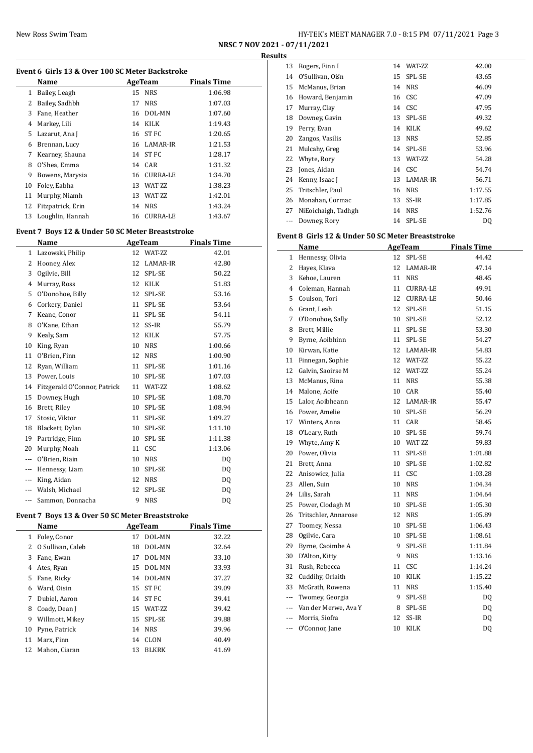| New Ross Swim Team | HY-TEK's MEET MANAGER 7.0 - 8:15 PM 07/11/2021 Page 3 |
|--------------------|-------------------------------------------------------|
|                    |                                                       |

**NRSC 7 NOV 2021 - 07/11/2021 Results**

|          | Event 6 Girls 13 & Over 100 SC Meter Backstroke<br>Name |    | AgeTeam        | <b>Finals Time</b> |
|----------|---------------------------------------------------------|----|----------------|--------------------|
| 1        | Bailey, Leagh                                           | 15 | NRS            | 1:06.98            |
| 2        | Bailey, Sadhbh                                          | 17 | <b>NRS</b>     | 1:07.03            |
| 3        | Fane, Heather                                           |    | 16 DOL-MN      | 1:07.60            |
| 4        | Markey, Lili                                            |    | 14 KILK        | 1:19.43            |
| 5        | Lazarut, Ana J                                          |    | 16 ST FC       | 1:20.65            |
| 6        | Brennan, Lucy                                           |    | 16 LAMAR-IR    | 1:21.53            |
| 7        | Kearney, Shauna                                         |    | 14 ST FC       | 1:28.17            |
| 8        | O'Shea, Emma                                            |    | 14 CAR         | 1:31.32            |
| 9        | Bowens, Marysia                                         |    | 16 CURRA-LE    | 1:34.70            |
| 10       | Foley, Eabha                                            |    | 13 WAT-ZZ      | 1:38.23            |
| 11       | Murphy, Niamh                                           |    | 13 WAT-ZZ      | 1:42.01            |
| 12       | Fitzpatrick, Erin                                       |    | 14 NRS         | 1:43.24            |
| 13       | Loughlin, Hannah                                        |    | 16 CURRA-LE    | 1:43.67            |
|          |                                                         |    |                |                    |
|          | Event 7 Boys 12 & Under 50 SC Meter Breaststroke        |    |                |                    |
|          | Name                                                    |    | <b>AgeTeam</b> | <b>Finals Time</b> |
| 1        | Lazowski, Philip                                        |    | 12 WAT-ZZ      | 42.01              |
| 2        | Hooney, Alex                                            |    | 12 LAMAR-IR    | 42.80              |
| 3        | Ogilvie, Bill                                           | 12 | SPL-SE         | 50.22              |
| 4        | Murray, Ross                                            |    | 12 KILK        | 51.83              |
| 5        | O'Donohoe, Billy                                        | 12 | SPL-SE         | 53.16              |
| 6        | Corkery, Daniel                                         | 11 | SPL-SE         | 53.64              |
| 7        | Keane, Conor                                            | 11 | SPL-SE         | 54.11              |
| 8        | O'Kane, Ethan                                           | 12 | SS-IR          | 55.79              |
| 9        | Kealy, Sam                                              | 12 | KILK           | 57.75              |
| 10       | King, Ryan                                              |    | 10 NRS         | 1:00.66            |
| 11       | O'Brien, Finn                                           |    | 12 NRS         | 1:00.90            |
| 12       | Ryan, William                                           | 11 | SPL-SE         | 1:01.16            |
| 13       | Power, Louis                                            | 10 | SPL-SE         | 1:07.03            |
| 14       | Fitzgerald O'Connor, Patrick                            | 11 | WAT-ZZ         | 1:08.62            |
| 15       | Downey, Hugh                                            | 10 | SPL-SE         | 1:08.70            |
| 16       | Brett, Riley                                            | 10 | SPL-SE         | 1:08.94            |
| 17       | Stosic, Viktor                                          | 11 | SPL-SE         | 1:09.27            |
| 18       | Blackett, Dylan                                         | 10 | SPL-SE         | 1:11.10            |
| 19       | Partridge, Finn                                         | 10 | SPL-SE         | 1:11.38            |
| 20       | Murphy, Noah                                            | 11 | CSC            | 1:13.06            |
|          | O'Brien, Riain                                          |    | 10 NRS         | DQ                 |
|          | --- Hennessy, Liam                                      | 10 | SPL-SE         | DQ                 |
| ---      | King, Aidan                                             | 12 | <b>NRS</b>     | DQ                 |
|          | --- Walsh, Michael                                      | 12 | SPL-SE         | DQ                 |
| $\cdots$ | Sammon, Donnacha                                        | 9  | <b>NRS</b>     | DQ                 |
|          | Event 7 Boys 13 & Over 50 SC Meter Breaststroke         |    |                |                    |
|          | Name                                                    |    | <b>AgeTeam</b> | <b>Finals Time</b> |
| 1        | Foley, Conor                                            | 17 | DOL-MN         | 32.22              |
| 2        | O Sullivan, Caleb                                       | 18 | DOL-MN         | 32.64              |
| 3        | Fane, Ewan                                              | 17 | DOL-MN         | 33.10              |
| 4        | Ates, Ryan                                              | 15 | DOL-MN         | 33.93              |
| 5        | Fane, Ricky                                             | 14 | DOL-MN         | 37.27              |
| 6        | Ward, Oisin                                             | 15 | ST FC          | 39.09              |
| 7        | Dubiel, Aaron                                           | 14 | ST FC          | 39.41              |
| 8        | Coady, Dean J                                           | 15 | WAT-ZZ         | 39.42              |
| 9        | Willmott, Mikey                                         | 15 | SPL-SE         | 39.88              |
| 1 በ      | Dymo Datrick                                            |    | 1. NDC         | 20.06              |

|    | Name                |    | AgeTeam      | <b>Finals Time</b> |
|----|---------------------|----|--------------|--------------------|
|    | 1 Foley, Conor      | 17 | DOL-MN       | 32.22              |
|    | 2 O Sullivan, Caleb | 18 | DOL-MN       | 32.64              |
| 3  | Fane, Ewan          | 17 | DOL-MN       | 33.10              |
| 4  | Ates, Ryan          | 15 | DOL-MN       | 33.93              |
| 5. | Fane, Ricky         |    | 14 DOL-MN    | 37.27              |
| 6  | Ward, Oisin         |    | 15 ST FC     | 39.09              |
| 7  | Dubiel, Aaron       |    | 14 ST FC     | 39.41              |
| 8  | Coady, Dean J       |    | 15 WAT-7.7   | 39.42              |
| 9  | Willmott, Mikey     |    | 15 SPL-SE    | 39.88              |
|    | 10 Pyne, Patrick    |    | 14 NRS       | 39.96              |
| 11 | Marx, Finn          | 14 | CLON         | 40.49              |
| 12 | Mahon, Ciaran       | 13 | <b>BLKRK</b> | 41.69              |
|    |                     |    |              |                    |

| 13  | Rogers, Finn I      | 14 | WAT-ZZ     | 42.00   |
|-----|---------------------|----|------------|---------|
| 14  | O'Sullivan, Oiśn    |    | 15 SPL-SE  | 43.65   |
| 15  | McManus, Brian      | 14 | <b>NRS</b> | 46.09   |
| 16  | Howard, Benjamin    |    | 16 CSC     | 47.09   |
| 17  | Murray, Clay        |    | 14 CSC     | 47.95   |
| 18  | Downey, Gavin       | 13 | SPL-SE     | 49.32   |
| 19  | Perry, Evan         | 14 | KILK       | 49.62   |
| 20  | Zangos, Vasilis     | 13 | NRS        | 52.85   |
| 21  | Mulcahy, Greg       | 14 | SPL-SE     | 53.96   |
| 22  | Whyte, Rory         | 13 | WAT-ZZ     | 54.28   |
| 23  | Jones, Aidan        |    | 14 CSC     | 54.74   |
| 24  | Kenny, Isaac J      | 13 | LAMAR-IR   | 56.71   |
| 25  | Tritschler, Paul    | 16 | NRS        | 1:17.55 |
| 26  | Monahan, Cormac     | 13 | SS-IR      | 1:17.85 |
| 27  | NiEoichaigh, Tadhgh | 14 | <b>NRS</b> | 1:52.76 |
| --- | Downey, Rory        | 14 | SPL-SE     | DQ      |

# **Event 8 Girls 12 & Under 50 SC Meter Breaststroke**

|                                                                                                                                                                                                                                                                                                                                                                                                                                                                            | Name                     |    | <b>AgeTeam</b>  | <b>Finals Time</b> |
|----------------------------------------------------------------------------------------------------------------------------------------------------------------------------------------------------------------------------------------------------------------------------------------------------------------------------------------------------------------------------------------------------------------------------------------------------------------------------|--------------------------|----|-----------------|--------------------|
| 1                                                                                                                                                                                                                                                                                                                                                                                                                                                                          | Hennessy, Olivia         | 12 | SPL-SE          | 44.42              |
| 2                                                                                                                                                                                                                                                                                                                                                                                                                                                                          | Hayes, Klava             | 12 | LAMAR-IR        | 47.14              |
| 3                                                                                                                                                                                                                                                                                                                                                                                                                                                                          | Kehoe, Lauren            | 11 | <b>NRS</b>      | 48.45              |
| $\overline{4}$                                                                                                                                                                                                                                                                                                                                                                                                                                                             | Coleman, Hannah          | 11 | <b>CURRA-LE</b> | 49.91              |
| 5                                                                                                                                                                                                                                                                                                                                                                                                                                                                          | Coulson, Tori            | 12 | <b>CURRA-LE</b> | 50.46              |
|                                                                                                                                                                                                                                                                                                                                                                                                                                                                            | 6 Grant, Leah            | 12 | SPL-SE          | 51.15              |
| 7                                                                                                                                                                                                                                                                                                                                                                                                                                                                          | O'Donohoe, Sally         | 10 | SPL-SE          | 52.12              |
| 8                                                                                                                                                                                                                                                                                                                                                                                                                                                                          | Brett, Millie            | 11 | SPL-SE          | 53.30              |
| 9                                                                                                                                                                                                                                                                                                                                                                                                                                                                          | Byrne, Aoibhinn          | 11 | SPL-SE          | 54.27              |
|                                                                                                                                                                                                                                                                                                                                                                                                                                                                            | 10 Kirwan, Katie         | 12 | LAMAR-IR        | 54.83              |
| 11                                                                                                                                                                                                                                                                                                                                                                                                                                                                         | Finnegan, Sophie         | 12 | WAT-ZZ          | 55.22              |
| 12                                                                                                                                                                                                                                                                                                                                                                                                                                                                         | Galvin, Saoirse M        | 12 | WAT-ZZ          | 55.24              |
| 13                                                                                                                                                                                                                                                                                                                                                                                                                                                                         | McManus, Rina            | 11 | <b>NRS</b>      | 55.38              |
| 14                                                                                                                                                                                                                                                                                                                                                                                                                                                                         | Malone, Aoife            | 10 | CAR             | 55.40              |
| 15                                                                                                                                                                                                                                                                                                                                                                                                                                                                         | Lalor, Aoibheann         | 12 | LAMAR-IR        | 55.47              |
|                                                                                                                                                                                                                                                                                                                                                                                                                                                                            | 16 Power, Amelie         | 10 | SPL-SE          | 56.29              |
|                                                                                                                                                                                                                                                                                                                                                                                                                                                                            | 17 Winters, Anna         | 11 | CAR             | 58.45              |
|                                                                                                                                                                                                                                                                                                                                                                                                                                                                            | 18 O'Leary, Ruth         | 10 | SPL-SE          | 59.74              |
|                                                                                                                                                                                                                                                                                                                                                                                                                                                                            | 19 Whyte, Amy K          | 10 | WAT-ZZ          | 59.83              |
|                                                                                                                                                                                                                                                                                                                                                                                                                                                                            | 20 Power, Olivia         | 11 | SPL-SE          | 1:01.88            |
|                                                                                                                                                                                                                                                                                                                                                                                                                                                                            | 21 Brett, Anna           | 10 | SPL-SE          | 1:02.82            |
|                                                                                                                                                                                                                                                                                                                                                                                                                                                                            | 22 Anisowicz, Julia      | 11 | CSC             | 1:03.28            |
|                                                                                                                                                                                                                                                                                                                                                                                                                                                                            | 23 Allen, Suin           | 10 | <b>NRS</b>      | 1:04.34            |
|                                                                                                                                                                                                                                                                                                                                                                                                                                                                            | 24 Lilis, Sarah          | 11 | <b>NRS</b>      | 1:04.64            |
| 25                                                                                                                                                                                                                                                                                                                                                                                                                                                                         | Power, Clodagh M         | 10 | SPL-SE          | 1:05.30            |
| 26                                                                                                                                                                                                                                                                                                                                                                                                                                                                         | Tritschler, Annarose     | 12 | <b>NRS</b>      | 1:05.89            |
| 27                                                                                                                                                                                                                                                                                                                                                                                                                                                                         | Toomey, Nessa            | 10 | SPL-SE          | 1:06.43            |
| 28                                                                                                                                                                                                                                                                                                                                                                                                                                                                         | Ogilvie, Cara            | 10 | SPL-SE          | 1:08.61            |
| 29                                                                                                                                                                                                                                                                                                                                                                                                                                                                         | Byrne, Caoimhe A         | 9  | SPL-SE          | 1:11.84            |
| 30                                                                                                                                                                                                                                                                                                                                                                                                                                                                         | D'Alton, Kitty           | 9  | <b>NRS</b>      | 1:13.16            |
| 31                                                                                                                                                                                                                                                                                                                                                                                                                                                                         | Rush, Rebecca            | 11 | CSC             | 1:14.24            |
| 32                                                                                                                                                                                                                                                                                                                                                                                                                                                                         | Cuddihy, Orlaith         | 10 | KILK            | 1:15.22            |
| 33                                                                                                                                                                                                                                                                                                                                                                                                                                                                         | McGrath, Rowena          | 11 | <b>NRS</b>      | 1:15.40            |
| $\frac{1}{2} \left( \frac{1}{2} \right) \left( \frac{1}{2} \right) \left( \frac{1}{2} \right) \left( \frac{1}{2} \right) \left( \frac{1}{2} \right) \left( \frac{1}{2} \right) \left( \frac{1}{2} \right) \left( \frac{1}{2} \right) \left( \frac{1}{2} \right) \left( \frac{1}{2} \right) \left( \frac{1}{2} \right) \left( \frac{1}{2} \right) \left( \frac{1}{2} \right) \left( \frac{1}{2} \right) \left( \frac{1}{2} \right) \left( \frac{1}{2} \right) \left( \frac$ | Twomey, Georgia          | 9  | SPL-SE          | DQ                 |
|                                                                                                                                                                                                                                                                                                                                                                                                                                                                            | --- Van der Merwe, Ava Y | 8  | SPL-SE          | DQ                 |
|                                                                                                                                                                                                                                                                                                                                                                                                                                                                            | --- Morris, Siofra       | 12 | SS-IR           | DQ                 |
| $\overline{a}$                                                                                                                                                                                                                                                                                                                                                                                                                                                             | O'Connor, Jane           | 10 | <b>KILK</b>     | DQ                 |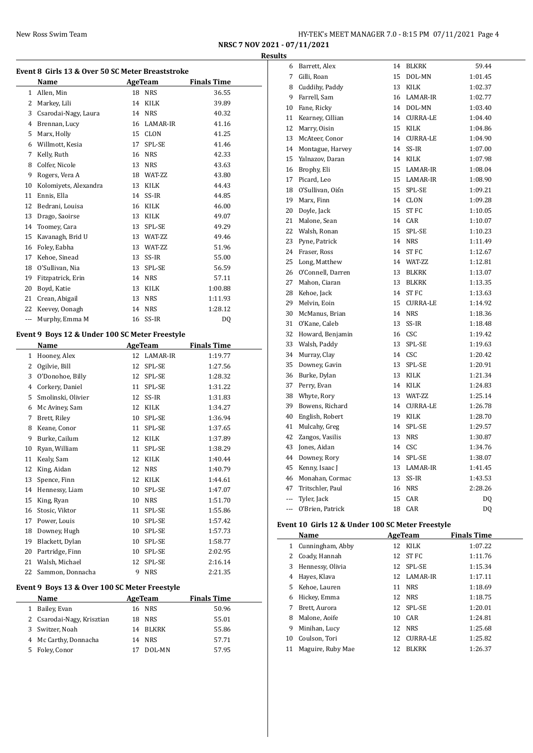| New Ross Swim Team |  | HY-TEK's MEET MANAGER 7.0 - 8:15 PM 07/11/2021 Page 4 |
|--------------------|--|-------------------------------------------------------|
|--------------------|--|-------------------------------------------------------|

**NRSC 7 NOV 2021 - 07/11/2021 Results**

|              | Event 8 Girls 13 & Over 50 SC Meter Breaststroke |                |                    |                    |  |
|--------------|--------------------------------------------------|----------------|--------------------|--------------------|--|
|              | Name                                             |                | AgeTeam            | <b>Finals Time</b> |  |
| $\mathbf{1}$ | Allen, Min                                       | 18             | <b>NRS</b>         | 36.55              |  |
| 2            | Markey, Lili                                     | 14             | KILK               | 39.89              |  |
| 3            | Csarodai-Nagy, Laura                             | 14             | <b>NRS</b>         | 40.32              |  |
| 4            | Brennan, Lucy                                    | 16             | LAMAR-IR           | 41.16              |  |
| 5            | Marx, Holly                                      | 15             | <b>CLON</b>        | 41.25              |  |
| 6            | Willmott, Kesia                                  | 17             | SPL-SE             | 41.46              |  |
| 7            | Kelly, Ruth                                      | 16             | <b>NRS</b>         | 42.33              |  |
| 8            | Colfer, Nicole                                   | 13             | <b>NRS</b>         | 43.63              |  |
| 9            | Rogers, Vera A                                   |                | 18 WAT-ZZ          | 43.80              |  |
| 10           | Kolomiyets, Alexandra                            | 13             | KILK               | 44.43              |  |
| 11           | Ennis, Ella                                      | 14             | SS-IR              | 44.85              |  |
| 12           | Bedrani, Louisa                                  | 16             | KILK               | 46.00              |  |
| 13           | Drago, Saoirse                                   | 13             | <b>KILK</b>        | 49.07              |  |
| 14           | Toomey, Cara                                     | 13             | SPL-SE             | 49.29              |  |
| 15           | Kavanagh, Brid U                                 | 13             | WAT-ZZ             | 49.46              |  |
| 16           | Foley, Eabha                                     | 13             | WAT-ZZ             | 51.96              |  |
| 17           | Kehoe, Sinead                                    | 13             | SS-IR              | 55.00              |  |
| 18           | O'Sullivan, Nia                                  | 13             | SPL-SE             | 56.59              |  |
| 19           | Fitzpatrick, Erin                                | 14             | <b>NRS</b>         | 57.11              |  |
| 20           | Boyd, Katie                                      | 13             | KILK               | 1:00.88            |  |
| 21           | Crean, Abigail                                   | 13             | <b>NRS</b>         | 1:11.93            |  |
| 22           | Keevey, Oonagh                                   | 14             | <b>NRS</b>         | 1:28.12            |  |
| ---          | Murphy, Emma M                                   | 16             | SS-IR              | DQ                 |  |
|              | Event 9 Boys 12 & Under 100 SC Meter Freestyle   |                |                    |                    |  |
|              | Name                                             |                | AgeTeam            | <b>Finals Time</b> |  |
| $\mathbf{1}$ | Hooney, Alex                                     | 12             | LAMAR-IR           | 1:19.77            |  |
| 2            | Ogilvie, Bill                                    | 12             | SPL-SE             | 1:27.56            |  |
| 3            | O'Donohoe, Billy                                 | 12             | SPL-SE             | 1:28.32            |  |
| 4            | Corkery, Daniel                                  | 11             | SPL-SE             | 1:31.22            |  |
| 5            | Smolinski, Olivier                               | 12             | SS-IR              | 1:31.83            |  |
| 6            | Mc Aviney, Sam                                   | 12             | KILK               | 1:34.27            |  |
| 7            | Brett, Riley                                     | 10             | SPL-SE             | 1:36.94            |  |
| 8            | Keane, Conor                                     | 11             | SPL-SE             | 1:37.65            |  |
| 9            | Burke, Cailum                                    | 12             | KILK               | 1:37.89            |  |
|              | $\mathbf{r}$                                     | $\overline{a}$ | $\sim$<br>$\theta$ |                    |  |

| 1            | Hooney, Alex                                  | 12     | LAMAR-IR    | 1:19.77            |
|--------------|-----------------------------------------------|--------|-------------|--------------------|
| 2            | Ogilvie, Bill                                 | 12     | SPL-SE      | 1:27.56            |
| 3            | O'Donohoe, Billy                              | 12     | SPL-SE      | 1:28.32            |
| 4            | Corkery, Daniel                               | 11     | SPL-SE      | 1:31.22            |
| 5            | Smolinski, Olivier                            | 12     | SS-IR       | 1:31.83            |
| 6            | Mc Aviney, Sam                                | 12     | KILK        | 1:34.27            |
| 7            | Brett, Riley                                  | 10     | SPL-SE      | 1:36.94            |
| 8            | Keane, Conor                                  | 11     | SPL-SE      | 1:37.65            |
| 9            | Burke, Cailum                                 | 12     | <b>KILK</b> | 1:37.89            |
| 10           | Ryan, William                                 | 11     | SPL-SE      | 1:38.29            |
| 11           | Kealy, Sam                                    | 12     | KILK        | 1:40.44            |
| 12           | King, Aidan                                   | 12     | <b>NRS</b>  | 1:40.79            |
| 13           | Spence, Finn                                  | 12     | <b>KILK</b> | 1:44.61            |
| 14           | Hennessy, Liam                                | 10     | SPL-SE      | 1:47.07            |
| 15           | King, Ryan                                    | 10     | <b>NRS</b>  | 1:51.70            |
| 16           | Stosic, Viktor                                | 11     | SPL-SE      | 1:55.86            |
| 17           | Power, Louis                                  | 10     | SPL-SE      | 1:57.42            |
| 18           | Downey, Hugh                                  | 10     | SPL-SE      | 1:57.73            |
| 19           | Blackett, Dylan                               | 10     | SPL-SE      | 1:58.77            |
| 20           | Partridge, Finn                               | 10     | SPL-SE      | 2:02.95            |
| 21           | Walsh, Michael                                | 12     | SPL-SE      | 2:16.14            |
| 22           | Sammon, Donnacha                              | 9      | <b>NRS</b>  | 2:21.35            |
|              | Event 9 Boys 13 & Over 100 SC Meter Freestyle |        |             |                    |
|              | Name                                          |        | AgeTeam     | <b>Finals Time</b> |
| $\mathbf{1}$ | Bailey, Evan                                  |        | 16 NRS      | 50.96              |
|              |                                               | $\sim$ |             | -- - -             |

| 55.01 |  |
|-------|--|
| 55.86 |  |
| 57.71 |  |
| 57.95 |  |
|       |  |

| 6           | Barrett, Alex     | 14              | BLKRK           | 59.44   |
|-------------|-------------------|-----------------|-----------------|---------|
| $7^{\circ}$ | Gilli, Roan       | 15              | DOL-MN          | 1:01.45 |
| 8           | Cuddihy, Paddy    | 13              | KILK            | 1:02.37 |
| 9           | Farrell, Sam      | 16              | LAMAR-IR        | 1:02.77 |
| 10          | Fane, Ricky       | 14              | DOL-MN          | 1:03.40 |
| 11          | Kearney, Cillian  |                 | 14 CURRA-LE     | 1:04.40 |
| 12          | Marry, Oisin      | 15              | KILK            | 1:04.86 |
| 13          | McAteer, Conor    | 14              | <b>CURRA-LE</b> | 1:04.90 |
| 14          | Montague, Harvey  |                 | 14 SS-IR        | 1:07.00 |
| 15          | Yalnazov, Daran   | 14              | KILK            | 1:07.98 |
| 16          | Brophy, Eli       | 15              | LAMAR-IR        | 1:08.04 |
| 17          | Picard, Leo       | 15              | LAMAR-IR        | 1:08.90 |
| 18          | O'Sullivan, Oiśn  | 15              | SPL-SE          | 1:09.21 |
| 19          | Marx, Finn        |                 | 14 CLON         | 1:09.28 |
| 20          | Doyle, Jack       |                 | 15 ST FC        | 1:10.05 |
| 21          | Malone, Sean      |                 | 14 CAR          | 1:10.07 |
| 22          | Walsh, Ronan      | 15              | SPL-SE          | 1:10.23 |
| 23          | Pyne, Patrick     | 14              | <b>NRS</b>      | 1:11.49 |
| 24          | Fraser, Ross      |                 | 14 ST FC        | 1:12.67 |
| 25          | Long, Matthew     |                 | 14 WAT-ZZ       | 1:12.81 |
| 26          | O'Connell, Darren | 13              | BLKRK           | 1:13.07 |
| 27          | Mahon, Ciaran     | 13              | <b>BLKRK</b>    | 1:13.35 |
| 28          | Kehoe, Jack       | 14              | ST FC           | 1:13.63 |
| 29          | Melvin, Eoin      |                 | 15 CURRA-LE     | 1:14.92 |
| 30          | McManus, Brian    | 14              | <b>NRS</b>      | 1:18.36 |
| 31          | O'Kane, Caleb     | 13              | SS-IR           | 1:18.48 |
| 32          | Howard, Benjamin  |                 | 16 CSC          | 1:19.42 |
| 33          | Walsh, Paddy      | 13              | SPL-SE          | 1:19.63 |
| 34          | Murray, Clay      |                 | 14 CSC          | 1:20.42 |
| 35          | Downey, Gavin     |                 | 13 SPL-SE       | 1:20.91 |
| 36          | Burke, Dylan      | 13              | KILK            | 1:21.34 |
| 37          | Perry, Evan       | 14              | KILK            | 1:24.83 |
| 38          | Whyte, Rory       |                 | 13 WAT-ZZ       | 1:25.14 |
| 39          | Bowens, Richard   |                 | 14 CURRA-LE     | 1:26.78 |
| 40          | English, Robert   |                 | 19 KILK         | 1:28.70 |
| 41          | Mulcahy, Greg     | 14              | SPL-SE          | 1:29.57 |
| 42          | Zangos, Vasilis   |                 | 13 NRS          | 1:30.87 |
| 43          | Jones, Aidan      | 14              | CSC             | 1:34.76 |
| 44          | Downey, Rory      | 14              | SPL-SE          | 1:38.07 |
| 45          | Kenny, Isaac J    |                 | 13 LAMAR-IR     | 1:41.45 |
| 46          | Monahan, Cormac   |                 | 13 SS-IR        | 1:43.53 |
| 47          | Tritschler, Paul  |                 | 16 NRS          | 2:28.26 |
| ---         | Tyler, Jack       | 15 <sup>7</sup> | CAR             | DQ      |
| ---         | O'Brien, Patrick  | 18              | CAR             | DQ      |

## **Event 10 Girls 12 & Under 100 SC Meter Freestyle**

|              | Name               |    | AgeTeam         | <b>Finals Time</b> |  |  |
|--------------|--------------------|----|-----------------|--------------------|--|--|
|              | 1 Cunningham, Abby |    | 12 KILK         | 1:07.22            |  |  |
| $\mathbf{Z}$ | Coady, Hannah      | 12 | ST FC           | 1:11.76            |  |  |
| 3            | Hennessy, Olivia   | 12 | SPL-SE          | 1:15.34            |  |  |
| 4            | Hayes, Klava       |    | 12 LAMAR-IR     | 1:17.11            |  |  |
| 5.           | Kehoe, Lauren      | 11 | <b>NRS</b>      | 1:18.69            |  |  |
| 6            | Hickey, Emma       | 12 | NRS             | 1:18.75            |  |  |
|              | Brett, Aurora      | 12 | SPL-SE          | 1:20.01            |  |  |
| 8            | Malone, Aoife      | 10 | CAR             | 1:24.81            |  |  |
| 9            | Minihan, Lucy      | 12 | <b>NRS</b>      | 1:25.68            |  |  |
| 10           | Coulson, Tori      | 12 | <b>CURRA-LE</b> | 1:25.82            |  |  |
| 11           | Maguire, Ruby Mae  | 12 | <b>BLKRK</b>    | 1:26.37            |  |  |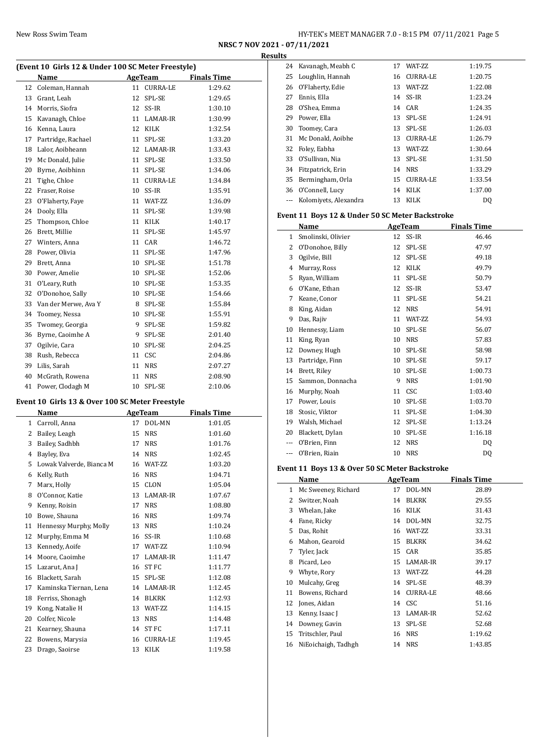**NRSC 7 NOV 2021 - 07/11/2021 Results**

# **(Event 10 Girls 12 & Under 100 SC Meter Freestyle)**

| EVENT TO GITIS 12 & UNGER TOO SC METER PRESTYPE |                      |    |                 |                    |  |  |
|-------------------------------------------------|----------------------|----|-----------------|--------------------|--|--|
|                                                 | Name                 |    | <b>AgeTeam</b>  | <b>Finals Time</b> |  |  |
| 12                                              | Coleman, Hannah      | 11 | <b>CURRA-LE</b> | 1:29.62            |  |  |
| 13                                              | Grant, Leah          | 12 | SPL-SE          | 1:29.65            |  |  |
| 14                                              | Morris, Siofra       | 12 | SS-IR           | 1:30.10            |  |  |
| 15                                              | Kavanagh, Chloe      | 11 | LAMAR-IR        | 1:30.99            |  |  |
| 16                                              | Kenna, Laura         | 12 | <b>KILK</b>     | 1:32.54            |  |  |
| 17                                              | Partridge, Rachael   | 11 | SPL-SE          | 1:33.20            |  |  |
| 18                                              | Lalor, Aoibheann     | 12 | LAMAR-IR        | 1:33.43            |  |  |
| 19                                              | Mc Donald, Julie     | 11 | SPL-SE          | 1:33.50            |  |  |
| 20                                              | Byrne, Aoibhinn      | 11 | SPL-SE          | 1:34.06            |  |  |
| 21                                              | Tighe, Chloe         | 11 | <b>CURRA-LE</b> | 1:34.84            |  |  |
| 22                                              | Fraser, Roise        | 10 | SS-IR           | 1:35.91            |  |  |
| 23                                              | O'Flaherty, Faye     | 11 | WAT-ZZ          | 1:36.09            |  |  |
| 24                                              | Dooly, Ella          | 11 | SPL-SE          | 1:39.98            |  |  |
| 25                                              | Thompson, Chloe      | 11 | <b>KILK</b>     | 1:40.17            |  |  |
| 26                                              | Brett, Millie        | 11 | SPL-SE          | 1:45.97            |  |  |
| 27                                              | Winters, Anna        | 11 | CAR             | 1:46.72            |  |  |
| 28                                              | Power, Olivia        | 11 | SPL-SE          | 1:47.96            |  |  |
| 29                                              | Brett, Anna          | 10 | SPL-SE          | 1:51.78            |  |  |
| 30                                              | Power, Amelie        | 10 | SPL-SE          | 1:52.06            |  |  |
| 31                                              | O'Leary, Ruth        | 10 | SPL-SE          | 1:53.35            |  |  |
| 32                                              | O'Donohoe, Sally     | 10 | SPL-SE          | 1:54.66            |  |  |
| 33                                              | Van der Merwe, Ava Y | 8  | SPL-SE          | 1:55.84            |  |  |
| 34                                              | Toomey, Nessa        | 10 | SPL-SE          | 1:55.91            |  |  |
| 35                                              | Twomey, Georgia      | 9  | SPL-SE          | 1:59.82            |  |  |
| 36                                              | Byrne, Caoimhe A     | 9  | SPL-SE          | 2:01.40            |  |  |
| 37                                              | Ogilvie, Cara        | 10 | SPL-SE          | 2:04.25            |  |  |
| 38                                              | Rush, Rebecca        | 11 | <b>CSC</b>      | 2:04.86            |  |  |
| 39                                              | Lilis, Sarah         | 11 | <b>NRS</b>      | 2:07.27            |  |  |
| 40                                              | McGrath, Rowena      | 11 | <b>NRS</b>      | 2:08.90            |  |  |
| 41                                              | Power, Clodagh M     | 10 | SPL-SE          | 2:10.06            |  |  |

## **Event 10 Girls 13 & Over 100 SC Meter Freestyle**

|    | Name                     |    | <b>AgeTeam</b>  | <b>Finals Time</b> |
|----|--------------------------|----|-----------------|--------------------|
| 1  | Carroll, Anna            | 17 | DOL-MN          | 1:01.05            |
| 2  | Bailey, Leagh            | 15 | <b>NRS</b>      | 1:01.60            |
| 3  | Bailey, Sadhbh           | 17 | <b>NRS</b>      | 1:01.76            |
| 4  | Bayley, Eva              | 14 | <b>NRS</b>      | 1:02.45            |
| 5  | Lowak Valverde, Bianca M | 16 | WAT-ZZ          | 1:03.20            |
| 6  | Kelly, Ruth              | 16 | <b>NRS</b>      | 1:04.71            |
| 7  | Marx, Holly              | 15 | <b>CLON</b>     | 1:05.04            |
| 8  | O'Connor, Katie          | 13 | LAMAR-IR        | 1:07.67            |
| 9  | Kenny, Roisin            | 17 | <b>NRS</b>      | 1:08.80            |
| 10 | Bowe, Shauna             | 16 | <b>NRS</b>      | 1:09.74            |
| 11 | Hennessy Murphy, Molly   | 13 | <b>NRS</b>      | 1:10.24            |
| 12 | Murphy, Emma M           | 16 | SS-IR           | 1:10.68            |
| 13 | Kennedy, Aoife           | 17 | WAT-ZZ          | 1:10.94            |
| 14 | Moore, Caoimhe           | 17 | LAMAR-IR        | 1:11.47            |
| 15 | Lazarut, Ana J           | 16 | <b>ST FC</b>    | 1:11.77            |
| 16 | Blackett, Sarah          | 15 | SPL-SE          | 1:12.08            |
| 17 | Kaminska Tiernan, Lena   | 14 | LAMAR-IR        | 1:12.45            |
| 18 | Ferriss, Shonagh         | 14 | <b>BLKRK</b>    | 1:12.93            |
| 19 | Kong, Natalie H          | 13 | WAT-ZZ          | 1:14.15            |
| 20 | Colfer, Nicole           | 13 | <b>NRS</b>      | 1:14.48            |
| 21 | Kearney, Shauna          | 14 | <b>STFC</b>     | 1:17.11            |
| 22 | Bowens, Marysia          | 16 | <b>CURRA-LE</b> | 1:19.45            |
| 23 | Drago, Saoirse           | 13 | <b>KILK</b>     | 1:19.58            |

| 24 | Kavanagh, Meabh C     | 17 | <b>WAT-7.7.</b> | 1:19.75 |
|----|-----------------------|----|-----------------|---------|
| 25 | Loughlin, Hannah      | 16 | <b>CURRA-LE</b> | 1:20.75 |
| 26 | O'Flaherty, Edie      | 13 | <b>WAT-7.7.</b> | 1:22.08 |
| 27 | Ennis, Ella           |    | 14 SS-IR        | 1:23.24 |
| 28 | O'Shea, Emma          |    | 14 CAR          | 1:24.35 |
| 29 | Power, Ella           | 13 | SPL-SE          | 1:24.91 |
| 30 | Toomey, Cara          | 13 | SPL-SE          | 1:26.03 |
| 31 | Mc Donald, Aoibhe     | 13 | <b>CURRA-LE</b> | 1:26.79 |
| 32 | Foley, Eabha          | 13 | <b>WAT-7.7.</b> | 1:30.64 |
| 33 | O'Sullivan, Nia       | 13 | <b>SPL-SE</b>   | 1:31.50 |
| 34 | Fitzpatrick, Erin     | 14 | <b>NRS</b>      | 1:33.29 |
| 35 | Bermingham, Orla      | 15 | <b>CURRA-LE</b> | 1:33.54 |
| 36 | O'Connell, Lucy       | 14 | KILK            | 1:37.00 |
|    | Kolomiyets, Alexandra | 13 | KILK            | DQ      |

## **Event 11 Boys 12 & Under 50 SC Meter Backstroke**

| Name               | AgeTeam |             | <b>Finals Time</b> |
|--------------------|---------|-------------|--------------------|
| Smolinski, Olivier |         | SS-IR       | 46.46              |
| O'Donohoe, Billy   | 12      | SPL-SE      | 47.97              |
| Ogilvie, Bill      | 12      | SPL-SE      | 49.18              |
| Murray, Ross       | 12      | <b>KILK</b> | 49.79              |
| Ryan, William      | 11      | SPL-SE      | 50.79              |
| O'Kane, Ethan      | 12      | SS-IR       | 53.47              |
| Keane, Conor       | 11      | SPL-SE      | 54.21              |
| King, Aidan        | 12      | <b>NRS</b>  | 54.91              |
| Das, Rajiv         | 11      | WAT-ZZ      | 54.93              |
| Hennessy, Liam     | 10      | SPL-SE      | 56.07              |
| King, Ryan         | 10      | <b>NRS</b>  | 57.83              |
| Downey, Hugh       | 10      | SPL-SE      | 58.98              |
| Partridge, Finn    | 10      | SPL-SE      | 59.17              |
| Brett, Riley       | 10      | SPL-SE      | 1:00.73            |
| Sammon, Donnacha   | 9       | <b>NRS</b>  | 1:01.90            |
| Murphy, Noah       | 11      | <b>CSC</b>  | 1:03.40            |
| Power, Louis       | 10      | SPL-SE      | 1:03.70            |
| Stosic, Viktor     | 11      | SPL-SE      | 1:04.30            |
| Walsh, Michael     | 12      | SPL-SE      | 1:13.24            |
| Blackett, Dylan    | 10      | SPL-SE      | 1:16.18            |
| O'Brien, Finn      | 12      | <b>NRS</b>  | D <sub>0</sub>     |
| O'Brien, Riain     | 10      | <b>NRS</b>  | DQ                 |
|                    |         |             | 12                 |

# **Event 11 Boys 13 & Over 50 SC Meter Backstroke**

|    | Name                |    | AgeTeam         | <b>Finals Time</b> |
|----|---------------------|----|-----------------|--------------------|
| 1  | Mc Sweeney, Richard | 17 | DOL-MN          | 28.89              |
| 2  | Switzer, Noah       | 14 | <b>BLKRK</b>    | 29.55              |
| 3  | Whelan, Jake        | 16 | KILK            | 31.43              |
| 4  | Fane, Ricky         | 14 | DOL-MN          | 32.75              |
| 5  | Das, Rohit          | 16 | WAT-ZZ          | 33.31              |
| 6  | Mahon, Gearoid      | 15 | <b>BLKRK</b>    | 34.62              |
| 7  | Tyler, Jack         | 15 | CAR             | 35.85              |
| 8  | Picard, Leo         | 15 | LAMAR-IR        | 39.17              |
| 9  | Whyte, Rory         | 13 | WAT-ZZ          | 44.28              |
| 10 | Mulcahy, Greg       | 14 | SPL-SE          | 48.39              |
| 11 | Bowens, Richard     | 14 | <b>CURRA-LE</b> | 48.66              |
| 12 | Jones, Aidan        | 14 | <b>CSC</b>      | 51.16              |
| 13 | Kenny, Isaac J      | 13 | LAMAR-IR        | 52.62              |
| 14 | Downey, Gavin       | 13 | SPL-SE          | 52.68              |
| 15 | Tritschler, Paul    | 16 | <b>NRS</b>      | 1:19.62            |
| 16 | NiEoichaigh, Tadhgh | 14 | <b>NRS</b>      | 1:43.85            |
|    |                     |    |                 |                    |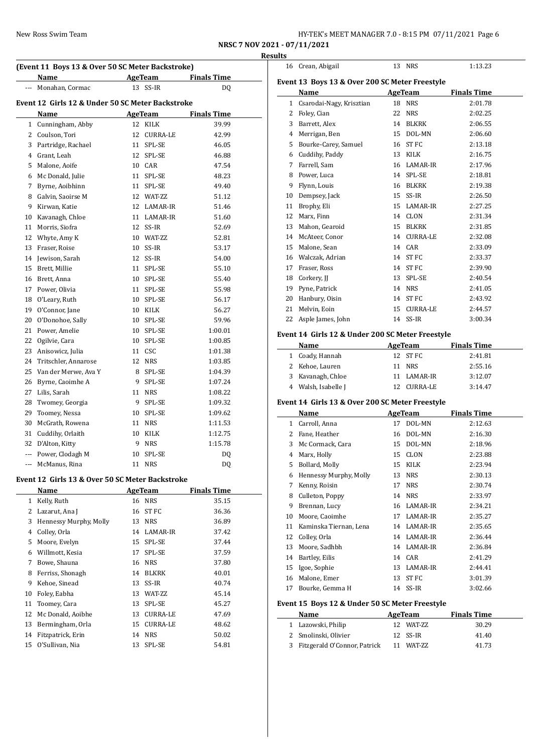| New Ross Swim Team | HY-TEK's MEET MANAGER 7.0 - 8:15 PM 07/11/2021 Page 6<br>$\mathbf{1}$ and $\mathbf{1}$ and $\mathbf{1}$ and $\mathbf{1}$ and $\mathbf{1}$ and $\mathbf{1}$ and $\mathbf{1}$ and $\mathbf{1}$ and $\mathbf{1}$ and $\mathbf{1}$ and $\mathbf{1}$ and $\mathbf{1}$ and $\mathbf{1}$ and $\mathbf{1}$ and $\mathbf{1}$ and $\mathbf{1}$ and $\mathbf{1}$ and |
|--------------------|-----------------------------------------------------------------------------------------------------------------------------------------------------------------------------------------------------------------------------------------------------------------------------------------------------------------------------------------------------------|
|--------------------|-----------------------------------------------------------------------------------------------------------------------------------------------------------------------------------------------------------------------------------------------------------------------------------------------------------------------------------------------------------|

**NRSC 7 NOV 2021 - 07/11/2021**

|                | (Event 11 Boys 13 & Over 50 SC Meter Backstroke)<br>Name |          | AgeTeam        | <b>Finals Time</b> |
|----------------|----------------------------------------------------------|----------|----------------|--------------------|
|                | Monahan, Cormac                                          | 13       | SS-IR          | DQ                 |
|                |                                                          |          |                |                    |
|                | Event 12 Girls 12 & Under 50 SC Meter Backstroke<br>Name |          | AgeTeam        | <b>Finals Time</b> |
|                | 1 Cunningham, Abby                                       | 12       | KILK           | 39.99              |
|                | 2 Coulson, Tori                                          |          | 12 CURRA-LE    | 42.99              |
|                | 3 Partridge, Rachael                                     | 11       | SPL-SE         | 46.05              |
|                | 4 Grant, Leah                                            | 12       | SPL-SE         | 46.88              |
|                | 5 Malone, Aoife                                          | 10       | CAR            | 47.54              |
|                | 6 Mc Donald, Julie                                       | 11       | SPL-SE         | 48.23              |
|                | 7 Byrne, Aoibhinn                                        | 11       | SPL-SE         | 49.40              |
|                | 8 Galvin, Saoirse M                                      | 12       | WAT-ZZ         | 51.12              |
|                | 9 Kirwan, Katie                                          | 12       | LAMAR-IR       | 51.46              |
|                | 10 Kavanagh, Chloe                                       |          | 11 LAMAR-IR    | 51.60              |
|                | 11 Morris, Siofra                                        |          | 12 SS-IR       | 52.69              |
|                | 12 Whyte, Amy K                                          |          | 10 WAT-ZZ      | 52.81              |
|                | 13 Fraser, Roise                                         | 10       | SS-IR          | 53.17              |
|                | 14 Jewison, Sarah                                        | 12       | SS-IR          | 54.00              |
|                | 15 Brett, Millie                                         | 11       | SPL-SE         | 55.10              |
|                | 16 Brett, Anna                                           | 10       | SPL-SE         | 55.40              |
|                | 17 Power, Olivia                                         | 11       | SPL-SE         | 55.98              |
|                | 18 O'Leary, Ruth                                         | 10       | SPL-SE         | 56.17              |
|                | 19 O'Connor, Jane                                        | 10       | <b>KILK</b>    | 56.27              |
|                | 20 O'Donohoe, Sally                                      | 10       | SPL-SE         | 59.96              |
|                | 21 Power, Amelie                                         | 10       | SPL-SE         | 1:00.01            |
|                | 22 Ogilvie, Cara                                         | 10       | SPL-SE         | 1:00.85            |
|                | 23 Anisowicz, Julia                                      | 11       | CSC            | 1:01.38            |
|                | 24 Tritschler. Annarose                                  | 12       | NRS            | 1:03.85            |
|                | 25 Van der Merwe, Ava Y                                  | 8        | SPL-SE         | 1:04.39            |
|                | 26 Byrne, Caoimhe A                                      | 9        | SPL-SE         | 1:07.24            |
|                | 27 Lilis, Sarah                                          | 11       | <b>NRS</b>     | 1:08.22            |
|                | 28 Twomey, Georgia                                       | 9        | SPL-SE         | 1:09.32            |
|                | 29 Toomey, Nessa                                         | 10       | SPL-SE         | 1:09.62            |
| 30             | McGrath, Rowena                                          | 11       | <b>NRS</b>     | 1:11.53            |
|                | 31 Cuddihy, Orlaith                                      | 10       | <b>KILK</b>    | 1:12.75            |
|                | 32 D'Alton, Kitty                                        | 9        | <b>NRS</b>     | 1:15.78            |
|                | --- Power, Clodagh M                                     | 10       | SPL-SE         | DQ                 |
|                | --- McManus, Rina                                        | 11       | <b>NRS</b>     | DQ                 |
|                |                                                          |          |                |                    |
|                | Event 12 Girls 13 & Over 50 SC Meter Backstroke<br>Name  |          | <b>AgeTeam</b> | <b>Finals Time</b> |
| $\mathbf{1}$   | Kelly, Ruth                                              |          | <b>NRS</b>     | 35.15              |
| $\overline{c}$ |                                                          | 16<br>16 | <b>STFC</b>    | 36.36              |
|                | Lazarut, Ana J                                           |          |                |                    |

| 1  | Kelly, Ruth            | 16 | <b>NRS</b>      | 35.15 |
|----|------------------------|----|-----------------|-------|
| 2  | Lazarut, Ana J         | 16 | ST FC           | 36.36 |
| 3  | Hennessy Murphy, Molly | 13 | <b>NRS</b>      | 36.89 |
| 4  | Colley, Orla           | 14 | LAMAR-IR        | 37.42 |
| 5  | Moore, Evelyn          | 15 | SPL-SE          | 37.44 |
| 6  | Willmott, Kesia        | 17 | SPL-SE          | 37.59 |
| 7  | Bowe, Shauna           | 16 | <b>NRS</b>      | 37.80 |
| 8  | Ferriss, Shonagh       | 14 | <b>BLKRK</b>    | 40.01 |
| 9  | Kehoe, Sinead          | 13 | SS-IR           | 40.74 |
| 10 | Foley, Eabha           | 13 | WAT-ZZ          | 45.14 |
| 11 | Toomey, Cara           | 13 | SPL-SE          | 45.27 |
| 12 | Mc Donald, Aoibhe      | 13 | <b>CURRA-LE</b> | 47.69 |
| 13 | Bermingham, Orla       | 15 | <b>CURRA-LE</b> | 48.62 |
| 14 | Fitzpatrick, Erin      | 14 | <b>NRS</b>      | 50.02 |
| 15 | O'Sullivan, Nia        | 13 | SPL-SE          | 54.81 |

|    | 16 Crean, Abigail                                |    | 13 NRS      | 1:13.23            |
|----|--------------------------------------------------|----|-------------|--------------------|
|    | Event 13 Boys 13 & Over 200 SC Meter Freestyle   |    |             |                    |
|    | Name                                             |    | AgeTeam     | <b>Finals Time</b> |
|    | 1 Csarodai-Nagy, Krisztian                       |    | 18 NRS      | 2:01.78            |
|    | 2 Foley, Cian                                    |    | 22 NRS      | 2:02.25            |
|    | 3 Barrett, Alex                                  |    | 14 BLKRK    | 2:06.55            |
|    | 4 Merrigan, Ben                                  |    | 15 DOL-MN   | 2:06.60            |
|    | 5 Bourke-Carey, Samuel                           |    | 16 ST FC    | 2:13.18            |
|    | 6 Cuddihy, Paddy                                 |    | 13 KILK     | 2:16.75            |
|    | 7 Farrell, Sam                                   |    | 16 LAMAR-IR | 2:17.96            |
|    | 8 Power, Luca                                    |    | 14 SPL-SE   | 2:18.81            |
|    | 9 Flynn, Louis                                   |    | 16 BLKRK    | 2:19.38            |
|    | 10 Dempsey, Jack                                 |    | 15 SS-IR    | 2:26.50            |
|    | 11 Brophy, Eli                                   |    | 15 LAMAR-IR | 2:27.25            |
| 12 | Marx, Finn                                       |    | 14 CLON     | 2:31.34            |
|    | 13 Mahon, Gearoid                                |    | 15 BLKRK    | 2:31.85            |
|    | 14 McAteer, Conor                                |    | 14 CURRA-LE | 2:32.08            |
|    | 15 Malone, Sean                                  |    | 14 CAR      | 2:33.09            |
|    | 16 Walczak, Adrian                               |    | 14 ST FC    | 2:33.37            |
|    | 17 Fraser, Ross                                  |    | 14 ST FC    | 2:39.90            |
|    | 18 Corkery, II                                   | 13 | SPL-SE      | 2:40.54            |
|    | 19 Pyne, Patrick                                 |    | 14 NRS      | 2:41.05            |
|    | 20 Hanbury, Oisin                                |    | 14 ST FC    | 2:43.92            |
|    | 21 Melvin, Eoin                                  |    | 15 CURRA-LE | 2:44.57            |
|    | 22 Asple James, John                             |    | 14 SS-IR    | 3:00.34            |
|    | Event 14 Girls 12 & Under 200 SC Meter Freestyle |    |             |                    |
|    | Name                                             |    | AgeTeam     | <b>Finals Time</b> |
|    | 1 Coady, Hannah                                  |    | 12 ST FC    | 2:41.81            |
|    | 2 Kehoe, Lauren                                  |    | 11 NRS      | 2:55.16            |
|    | 3 Kavanagh, Chloe                                |    | 11 LAMAR-IR | 3:12.07            |
|    | 4 Walsh, Isabelle J                              |    | 12 CURRA-LE | 3:14.47            |

## **Event 14 Girls 13 & Over 200 SC Meter Freestyle**

|    | Name                   |    | AgeTeam     | <b>Finals Time</b> |  |
|----|------------------------|----|-------------|--------------------|--|
| 1  | Carroll, Anna          | 17 | DOL-MN      | 2:12.63            |  |
| 2  | Fane, Heather          | 16 | DOL-MN      | 2:16.30            |  |
| 3  | Mc Cormack, Cara       | 15 | DOL-MN      | 2:18.96            |  |
| 4  | Marx, Holly            | 15 | <b>CLON</b> | 2:23.88            |  |
| 5  | Bollard, Molly         | 15 | KILK        | 2:23.94            |  |
| 6  | Hennessy Murphy, Molly | 13 | <b>NRS</b>  | 2:30.13            |  |
| 7  | Kenny, Roisin          | 17 | <b>NRS</b>  | 2:30.74            |  |
| 8  | Culleton, Poppy        | 14 | <b>NRS</b>  | 2:33.97            |  |
| 9  | Brennan, Lucy          | 16 | LAMAR-IR    | 2:34.21            |  |
| 10 | Moore, Caoimhe         | 17 | LAMAR-IR    | 2:35.27            |  |
| 11 | Kaminska Tiernan, Lena | 14 | LAMAR-IR    | 2:35.65            |  |
| 12 | Colley, Orla           | 14 | LAMAR-IR    | 2:36.44            |  |
| 13 | Moore, Sadhbh          | 14 | LAMAR-IR    | 2:36.84            |  |
| 14 | Bartley, Eilis         | 14 | CAR         | 2:41.29            |  |
| 15 | Igoe, Sophie           | 13 | LAMAR-IR    | 2:44.41            |  |
| 16 | Malone, Emer           | 13 | ST FC       | 3:01.39            |  |
| 17 | Bourke, Gemma H        | 14 | SS-IR       | 3:02.66            |  |

# **Event 15 Boys 12 & Under 50 SC Meter Freestyle**

| Name                           | AgeTeam    | <b>Finals Time</b> |
|--------------------------------|------------|--------------------|
| 1 Lazowski, Philip             | 12 WAT-7.7 | 30.29              |
| 2 Smolinski, Olivier           | 12 SS-IR   | 41.40              |
| 3 Fitzgerald O'Connor, Patrick | 11 WAT-ZZ  | 41.73              |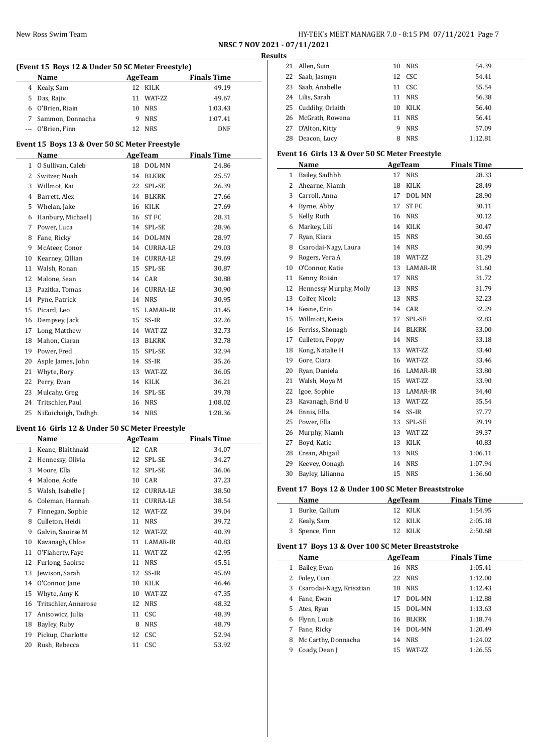# New Ross Swim Team HY-TEK's MEET MANAGER 7.0 - 8:15 PM 07/11/2021 Page 7

**NRSC 7 NOV 2021 - 07/11/2021 Results**

|                                               | (Event 15 Boys 12 & Under 50 SC Meter Freestyle) |    |              |                    |  |  |  |
|-----------------------------------------------|--------------------------------------------------|----|--------------|--------------------|--|--|--|
|                                               | Name                                             |    | AgeTeam      | <b>Finals Time</b> |  |  |  |
| 4                                             | Kealy, Sam                                       |    | 12 KILK      | 49.19              |  |  |  |
| 5                                             | Das, Rajiv                                       |    | 11 WAT-ZZ    | 49.67              |  |  |  |
|                                               | 6 O'Brien, Riain                                 |    | 10 NRS       | 1:03.43            |  |  |  |
| 7                                             | Sammon, Donnacha                                 | 9  | <b>NRS</b>   | 1:07.41            |  |  |  |
| ---                                           | O'Brien, Finn                                    |    | 12 NRS       | <b>DNF</b>         |  |  |  |
| Event 15 Boys 13 & Over 50 SC Meter Freestyle |                                                  |    |              |                    |  |  |  |
| Name<br><b>AgeTeam</b><br><b>Finals Time</b>  |                                                  |    |              |                    |  |  |  |
| $\mathbf{1}$                                  | O Sullivan, Caleb                                | 18 | DOL-MN       | 24.86              |  |  |  |
| 2                                             | Switzer, Noah                                    | 14 | <b>BLKRK</b> | 25.57              |  |  |  |
| 3                                             | Willmot, Kai                                     | 22 | SPL-SE       | 26.39              |  |  |  |
| 4                                             | Barrett, Alex                                    |    | 14 BLKRK     | 27.66              |  |  |  |
| 5                                             | Whelan, Jake                                     |    | 16 KILK      | 27.69              |  |  |  |
| 6                                             | Hanbury, Michael J                               |    | 16 ST FC     | 28.31              |  |  |  |
| 7                                             | Power, Luca                                      |    | 14 SPL-SE    | 28.96              |  |  |  |
| 8                                             | Fane, Ricky                                      |    | 14 DOL-MN    | 28.97              |  |  |  |
| 9                                             | McAteer, Conor                                   |    | 14 CURRA-LE  | 29.03              |  |  |  |
| 10                                            | Kearney, Cillian                                 |    | 14 CURRA-LE  | 29.69              |  |  |  |
| 11                                            | Walsh, Ronan                                     |    | 15 SPL-SE    | 30.87              |  |  |  |
| 12                                            | Malone, Sean                                     |    | 14 CAR       | 30.88              |  |  |  |
| 13                                            | Pazitka, Tomas                                   |    | 14 CURRA-LE  | 30.90              |  |  |  |
| 14                                            | Pyne, Patrick                                    |    | 14 NRS       | 30.95              |  |  |  |
| 15                                            | Picard, Leo                                      |    | 15 LAMAR-IR  | 31.45              |  |  |  |
| 16                                            | Dempsey, Jack                                    |    | 15 SS-IR     | 32.26              |  |  |  |
| 17                                            | Long, Matthew                                    |    | 14 WAT-ZZ    | 32.73              |  |  |  |
| 18                                            | Mahon, Ciaran                                    |    | 13 BLKRK     | 32.78              |  |  |  |
| 19                                            | Power, Fred                                      |    | 15 SPL-SE    | 32.94              |  |  |  |
| 20                                            | Asple James, John                                |    | 14 SS-IR     | 35.26              |  |  |  |
| 21                                            | Whyte, Rory                                      |    | 13 WAT-ZZ    | 36.05              |  |  |  |
| 22                                            | Perry, Evan                                      |    | 14 KILK      | 36.21              |  |  |  |
| 23                                            | Mulcahy, Greg                                    | 14 | SPL-SE       | 39.78              |  |  |  |
| 24                                            | Tritschler, Paul                                 | 16 | <b>NRS</b>   | 1:08.02            |  |  |  |
| 25                                            | NiEoichaigh, Tadhgh                              | 14 | <b>NRS</b>   | 1:28.36            |  |  |  |
|                                               | Event 16 Girls 12 & Under 50 SC Meter Freestyle  |    |              |                    |  |  |  |

|    | Name                 |    | <b>AgeTeam</b>  | <b>Finals Time</b> |  |
|----|----------------------|----|-----------------|--------------------|--|
| 1  | Keane, Blaithnaid    | 12 | CAR             | 34.07              |  |
| 2  | Hennessy, Olivia     | 12 | SPL-SE          | 34.27              |  |
| 3  | Moore, Ella          | 12 | SPL-SE          | 36.06              |  |
| 4  | Malone, Aoife        | 10 | CAR             | 37.23              |  |
| 5  | Walsh, Isabelle J    | 12 | <b>CURRA-LE</b> | 38.50              |  |
| 6  | Coleman, Hannah      | 11 | CURRA-LE        | 38.54              |  |
| 7  | Finnegan, Sophie     | 12 | WAT-ZZ          | 39.04              |  |
| 8  | Culleton, Heidi      | 11 | <b>NRS</b>      | 39.72              |  |
| 9  | Galvin, Saoirse M    | 12 | WAT-ZZ          | 40.39              |  |
| 10 | Kavanagh, Chloe      | 11 | LAMAR-IR        | 40.83              |  |
| 11 | O'Flaherty, Faye     | 11 | WAT-ZZ          | 42.95              |  |
| 12 | Furlong, Saoirse     | 11 | <b>NRS</b>      | 45.51              |  |
| 13 | Jewison, Sarah       | 12 | SS-IR           | 45.69              |  |
| 14 | O'Connor, Jane       | 10 | KILK            | 46.46              |  |
| 15 | Whyte, Amy K         | 10 | WAT-ZZ          | 47.35              |  |
| 16 | Tritschler, Annarose | 12 | <b>NRS</b>      | 48.32              |  |
| 17 | Anisowicz, Julia     | 11 | <b>CSC</b>      | 48.39              |  |
| 18 | Bayley, Ruby         | 8  | <b>NRS</b>      | 48.79              |  |
| 19 | Pickup, Charlotte    | 12 | CSC             | 52.94              |  |
| 20 | Rush, Rebecca        | 11 | CSC             | 53.92              |  |

| LS |                     |    |            |         |
|----|---------------------|----|------------|---------|
|    | 21 Allen, Suin      | 10 | NRS        | 54.39   |
|    | 22 Saab, Jasmyn     |    | 12 CSC     | 54.41   |
|    | 23 Saab, Anabelle   |    | 11 CSC     | 55.54   |
|    | 24 Lilis, Sarah     |    | 11 NRS     | 56.38   |
|    | 25 Cuddihy, Orlaith | 10 | KILK       | 56.40   |
|    | 26 McGrath, Rowena  |    | 11 NRS     | 56.41   |
|    | 27 D'Alton, Kitty   | 9  | NRS        | 57.09   |
| 28 | Deacon, Lucy        | 8  | <b>NRS</b> | 1:12.81 |
|    |                     |    |            |         |

## **Event 16 Girls 13 & Over 50 SC Meter Freestyle**

|    | Name                   |    | <b>AgeTeam</b> | <b>Finals Time</b> |
|----|------------------------|----|----------------|--------------------|
| 1  | Bailey, Sadhbh         | 17 | <b>NRS</b>     | 28.33              |
| 2  | Ahearne, Niamh         | 18 | KILK           | 28.49              |
| 3  | Carroll, Anna          | 17 | DOL-MN         | 28.90              |
| 4  | Byrne, Abby            | 17 | <b>STFC</b>    | 30.11              |
| 5  | Kelly, Ruth            | 16 | <b>NRS</b>     | 30.12              |
| 6  | Markey, Lili           | 14 | <b>KILK</b>    | 30.47              |
| 7  | Ryan, Kiara            | 15 | <b>NRS</b>     | 30.65              |
| 8  | Csarodai-Nagy, Laura   | 14 | <b>NRS</b>     | 30.99              |
| 9  | Rogers, Vera A         | 18 | WAT-ZZ         | 31.29              |
| 10 | O'Connor, Katie        | 13 | LAMAR-IR       | 31.60              |
| 11 | Kenny, Roisin          | 17 | <b>NRS</b>     | 31.72              |
| 12 | Hennessy Murphy, Molly | 13 | <b>NRS</b>     | 31.79              |
| 13 | Colfer, Nicole         | 13 | <b>NRS</b>     | 32.23              |
| 14 | Keane, Erin            | 14 | CAR            | 32.29              |
| 15 | Willmott, Kesia        | 17 | SPL-SE         | 32.83              |
| 16 | Ferriss, Shonagh       | 14 | <b>BLKRK</b>   | 33.00              |
| 17 | Culleton, Poppy        | 14 | <b>NRS</b>     | 33.18              |
| 18 | Kong, Natalie H        | 13 | WAT-ZZ         | 33.40              |
| 19 | Gore, Ciara            | 16 | WAT-ZZ         | 33.46              |
| 20 | Ryan, Daniela          | 16 | LAMAR-IR       | 33.80              |
| 21 | Walsh, Moya M          |    | 15 WAT-ZZ      | 33.90              |
| 22 | Igoe, Sophie           | 13 | LAMAR-IR       | 34.40              |
| 23 | Kavanagh, Brid U       | 13 | WAT-ZZ         | 35.54              |
| 24 | Ennis, Ella            | 14 | SS-IR          | 37.77              |
| 25 | Power, Ella            | 13 | SPL-SE         | 39.19              |
| 26 | Murphy, Niamh          | 13 | WAT-ZZ         | 39.37              |
| 27 | Boyd, Katie            | 13 | KILK           | 40.83              |
| 28 | Crean, Abigail         | 13 | <b>NRS</b>     | 1:06.11            |
| 29 | Keevey, Oonagh         | 14 | <b>NRS</b>     | 1:07.94            |
| 30 | Bayley, Lilianna       | 15 | <b>NRS</b>     | 1:36.60            |

## **Event 17 Boys 12 & Under 100 SC Meter Breaststroke**

| Name            | AgeTeam | <b>Finals Time</b> |  |
|-----------------|---------|--------------------|--|
| 1 Burke, Cailum | 12 KILK | 1:54.95            |  |
| 2 Kealy, Sam    | 12 KILK | 2:05.18            |  |
| 3 Spence, Finn  | 12 KILK | 2:50.68            |  |

# **Event 17 Boys 13 & Over 100 SC Meter Breaststroke**

|    | Name                       |    | AgeTeam         | <b>Finals Time</b> |  |
|----|----------------------------|----|-----------------|--------------------|--|
| 1  | Bailey, Evan               |    | 16 NRS          | 1:05.41            |  |
| 2  | Foley, Cian                |    | 22 NRS          | 1:12.00            |  |
|    | 3 Csarodai-Nagy, Krisztian | 18 | NRS             | 1:12.43            |  |
| 4  | Fane, Ewan                 | 17 | DOL-MN          | 1:12.88            |  |
| 5. | Ates, Ryan                 | 15 | DOL-MN          | 1:13.63            |  |
| 6  | Flynn, Louis               | 16 | BLKRK           | 1:18.74            |  |
| 7  | Fane, Ricky                | 14 | DOL-MN          | 1:20.49            |  |
| 8  | Mc Carthy, Donnacha        | 14 | <b>NRS</b>      | 1:24.02            |  |
| 9  | Coady, Dean J              | 15 | <b>WAT-7.7.</b> | 1:26.55            |  |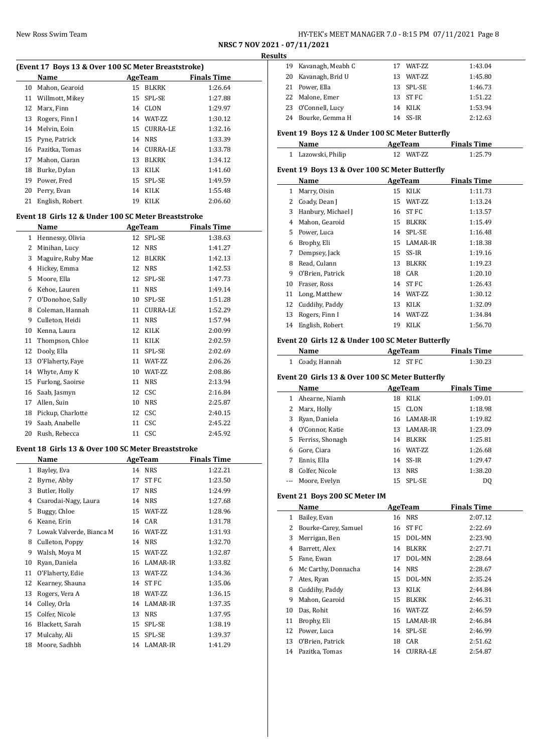# New Ross Swim Team HY-TEK's MEET MANAGER 7.0 - 8:15 PM 07/11/2021 Page 8

**NRSC 7 NOV 2021 - 07/11/2021 Results**

 $\overline{a}$ 

## **(Event 17 Boys 13 & Over 100 SC Meter Breaststroke)**

|    | Name               |    | AgeTeam      | <b>Finals Time</b> |
|----|--------------------|----|--------------|--------------------|
| 10 | Mahon, Gearoid     | 15 | BLKRK        | 1:26.64            |
|    | 11 Willmott, Mikey |    | 15 SPL-SE    | 1:27.88            |
|    | 12 Marx, Finn      |    | 14 CLON      | 1:29.97            |
| 13 | Rogers, Finn I     | 14 | WAT-ZZ       | 1:30.12            |
|    | 14 Melvin, Eoin    |    | 15 CURRA-LE  | 1:32.16            |
|    | 15 Pyne, Patrick   |    | 14 NRS       | 1:33.39            |
| 16 | Pazitka, Tomas     | 14 | CURRA-LE     | 1:33.78            |
| 17 | Mahon, Ciaran      | 13 | <b>BLKRK</b> | 1:34.12            |
| 18 | Burke, Dylan       | 13 | KILK         | 1:41.60            |
| 19 | Power, Fred        |    | 15 SPL-SE    | 1:49.59            |
| 20 | Perry, Evan        | 14 | KILK         | 1:55.48            |
| 21 | English, Robert    | 19 | KILK         | 2:06.60            |

### **Event 18 Girls 12 & Under 100 SC Meter Breaststroke**

|              | Name              | <b>AgeTeam</b> |                 | <b>Finals Time</b> |
|--------------|-------------------|----------------|-----------------|--------------------|
| $\mathbf{1}$ | Hennessy, Olivia  | 12             | SPL-SE          | 1:38.63            |
| 2            | Minihan, Lucy     | 12             | <b>NRS</b>      | 1:41.27            |
| 3            | Maguire, Ruby Mae | 12             | <b>BLKRK</b>    | 1:42.13            |
| 4            | Hickey, Emma      | 12             | <b>NRS</b>      | 1:42.53            |
| 5            | Moore, Ella       | 12             | SPL-SE          | 1:47.73            |
| 6            | Kehoe, Lauren     | 11             | <b>NRS</b>      | 1:49.14            |
| 7            | O'Donohoe, Sally  | 10             | SPL-SE          | 1:51.28            |
| 8            | Coleman, Hannah   | 11             | <b>CURRA-LE</b> | 1:52.29            |
| 9            | Culleton, Heidi   | 11             | <b>NRS</b>      | 1:57.94            |
| 10           | Kenna, Laura      | 12             | <b>KILK</b>     | 2:00.99            |
| 11           | Thompson, Chloe   | 11             | <b>KILK</b>     | 2:02.59            |
| 12           | Dooly, Ella       | 11             | SPL-SE          | 2:02.69            |
| 13           | O'Flaherty, Faye  | 11             | WAT-ZZ          | 2:06.26            |
| 14           | Whyte, Amy K      | 10             | WAT-ZZ          | 2:08.86            |
| 15           | Furlong, Saoirse  | 11             | <b>NRS</b>      | 2:13.94            |
| 16           | Saab, Jasmyn      | 12             | <b>CSC</b>      | 2:16.84            |
| 17           | Allen, Suin       | 10             | <b>NRS</b>      | 2:25.87            |
| 18           | Pickup, Charlotte | 12             | CSC             | 2:40.15            |
| 19           | Saab, Anabelle    | 11             | CSC             | 2:45.22            |
| 20           | Rush, Rebecca     | 11             | CSC             | 2:45.92            |

## **Event 18 Girls 13 & Over 100 SC Meter Breaststroke**

|    | Name                     |    | <b>AgeTeam</b> | <b>Finals Time</b> |
|----|--------------------------|----|----------------|--------------------|
| 1  | Bayley, Eva              | 14 | <b>NRS</b>     | 1:22.21            |
| 2  | Byrne, Abby              | 17 | ST FC          | 1:23.50            |
| 3  | Butler, Holly            | 17 | <b>NRS</b>     | 1:24.99            |
| 4  | Csarodai-Nagy, Laura     | 14 | <b>NRS</b>     | 1:27.68            |
| 5  | Buggy, Chloe             | 15 | WAT-ZZ         | 1:28.96            |
| 6  | Keane, Erin              | 14 | CAR            | 1:31.78            |
| 7  | Lowak Valverde, Bianca M | 16 | WAT-ZZ         | 1:31.93            |
| 8  | Culleton, Poppy          | 14 | <b>NRS</b>     | 1:32.70            |
| 9  | Walsh, Moya M            | 15 | WAT-ZZ         | 1:32.87            |
| 10 | Ryan, Daniela            | 16 | LAMAR-IR       | 1:33.82            |
| 11 | O'Flaherty, Edie         | 13 | WAT-ZZ         | 1:34.36            |
| 12 | Kearney, Shauna          | 14 | ST FC          | 1:35.06            |
| 13 | Rogers, Vera A           | 18 | WAT-ZZ         | 1:36.15            |
| 14 | Colley, Orla             | 14 | LAMAR-IR       | 1:37.35            |
| 15 | Colfer, Nicole           | 13 | <b>NRS</b>     | 1:37.95            |
| 16 | Blackett, Sarah          | 15 | SPL-SE         | 1:38.19            |
| 17 | Mulcahy, Ali             | 15 | SPL-SE         | 1:39.37            |
| 18 | Moore, Sadhbh            | 14 | LAMAR-IR       | 1:41.29            |

| แร |                      |     |               |         |
|----|----------------------|-----|---------------|---------|
|    | 19 Kavanagh, Meabh C | 17  | <b>WAT-ZZ</b> | 1:43.04 |
|    | 20 Kavanagh, Brid U  | 13. | WAT-ZZ        | 1:45.80 |
|    | 21 Power, Ella       |     | 13 SPL-SE     | 1:46.73 |
|    | 22 Malone, Emer      |     | 13 ST FC      | 1:51.22 |
|    | 23 O'Connell, Lucy   |     | 14 KILK       | 1:53.94 |
|    | 24 Bourke, Gemma H   |     | 14 SS-IR      | 2:12.63 |

## **Event 19 Boys 12 & Under 100 SC Meter Butterfly**

| Name               | AgeTeam    | <b>Finals Time</b> |  |
|--------------------|------------|--------------------|--|
| 1 Lazowski, Philip | 12 WAT-7.7 | 1:25.79            |  |

## **Event 19 Boys 13 & Over 100 SC Meter Butterfly**

|    | Name               |    | AgeTeam      | <b>Finals Time</b> |
|----|--------------------|----|--------------|--------------------|
| 1  | Marry, Oisin       | 15 | KILK         | 1:11.73            |
| 2  | Coady, Dean J      | 15 | WAT-ZZ       | 1:13.24            |
| 3  | Hanbury, Michael J | 16 | ST FC        | 1:13.57            |
| 4  | Mahon, Gearoid     | 15 | <b>BLKRK</b> | 1:15.49            |
| 5. | Power, Luca        | 14 | SPL-SE       | 1:16.48            |
| 6  | Brophy, Eli        | 15 | LAMAR-IR     | 1:18.38            |
| 7  | Dempsey, Jack      | 15 | SS-IR        | 1:19.16            |
| 8  | Read, Culann       | 13 | BLKRK        | 1:19.23            |
| 9  | O'Brien, Patrick   | 18 | CAR          | 1:20.10            |
| 10 | Fraser, Ross       | 14 | ST FC        | 1:26.43            |
| 11 | Long, Matthew      | 14 | WAT-ZZ       | 1:30.12            |
| 12 | Cuddihy, Paddy     | 13 | KILK         | 1:32.09            |
| 13 | Rogers, Finn I     | 14 | WAT-ZZ       | 1:34.84            |
| 14 | English, Robert    | 19 | KILK         | 1:56.70            |

## **Event 20 Girls 12 & Under 100 SC Meter Butterfly**

| Name            | AgeTeam  | <b>Finals Time</b> |  |
|-----------------|----------|--------------------|--|
| 1 Coady, Hannah | 12 ST FC | 1:30.23            |  |

## **Event 20 Girls 13 & Over 100 SC Meter Butterfly**

|    | Name              |    | AgeTeam     | <b>Finals Time</b> |
|----|-------------------|----|-------------|--------------------|
|    | Ahearne, Niamh    | 18 | KILK        | 1:09.01            |
| 2  | Marx, Holly       |    | 15 CLON     | 1:18.98            |
|    | Ryan, Daniela     |    | 16 LAMAR-IR | 1:19.82            |
| 4  | O'Connor, Katie   |    | 13 LAMAR-IR | 1:23.09            |
| 5. | Ferriss, Shonagh  |    | 14 BLKRK    | 1:25.81            |
| 6  | Gore, Ciara       |    | 16 WAT-ZZ   | 1:26.68            |
|    | Ennis, Ella       |    | 14 SS-IR    | 1:29.47            |
| 8  | Colfer, Nicole    | 13 | <b>NRS</b>  | 1:38.20            |
|    | --- Moore, Evelyn |    | 15 SPL-SE   | DO                 |

## **Event 21 Boys 200 SC Meter IM**

| Name |                      | AgeTeam |                 | <b>Finals Time</b> |
|------|----------------------|---------|-----------------|--------------------|
| 1    | Bailey, Evan         |         | 16 NRS          | 2:07.12            |
| 2    | Bourke-Carey, Samuel | 16      | ST FC           | 2:22.69            |
| 3    | Merrigan, Ben        | 15      | DOL-MN          | 2:23.90            |
| 4    | Barrett, Alex        | 14      | <b>BLKRK</b>    | 2:27.71            |
| 5.   | Fane, Ewan           | 17      | DOL-MN          | 2:28.64            |
| 6    | Mc Carthy, Donnacha  | 14      | <b>NRS</b>      | 2:28.67            |
| 7    | Ates, Ryan           |         | 15 DOL-MN       | 2:35.24            |
| 8    | Cuddihy, Paddy       | 13      | KILK            | 2:44.84            |
| 9    | Mahon, Gearoid       | 15      | <b>BLKRK</b>    | 2:46.31            |
| 10   | Das, Rohit           | 16      | WAT-ZZ          | 2:46.59            |
| 11   | Brophy, Eli          |         | 15 LAMAR-IR     | 2:46.84            |
| 12   | Power, Luca          | 14      | SPL-SE          | 2:46.99            |
| 13   | O'Brien, Patrick     | 18      | CAR             | 2:51.62            |
| 14   | Pazitka, Tomas       | 14      | <b>CURRA-LE</b> | 2:54.87            |